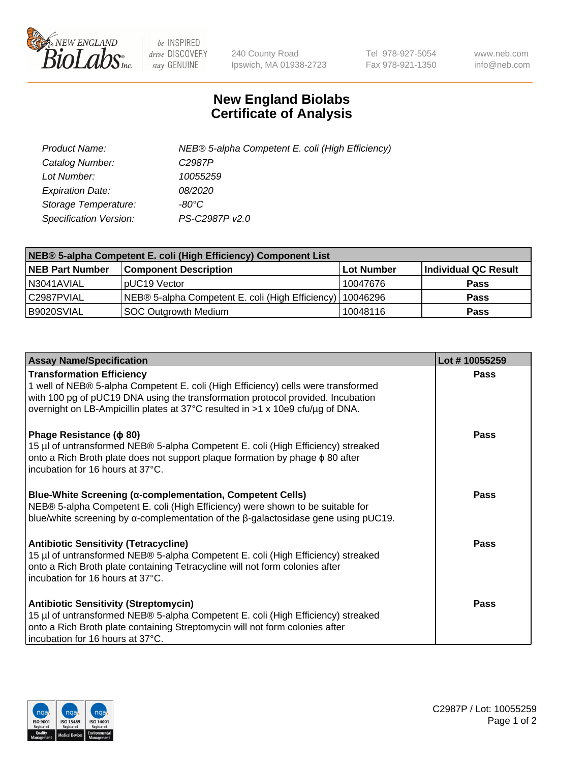

 $be$  INSPIRED drive DISCOVERY stay GENUINE

240 County Road Ipswich, MA 01938-2723 Tel 978-927-5054 Fax 978-921-1350 www.neb.com info@neb.com

## **New England Biolabs Certificate of Analysis**

| Product Name:           | NEB® 5-alpha Competent E. coli (High Efficiency) |
|-------------------------|--------------------------------------------------|
| Catalog Number:         | C <sub>2987</sub> P                              |
| Lot Number:             | 10055259                                         |
| <b>Expiration Date:</b> | <i>08/2020</i>                                   |
| Storage Temperature:    | -80°C                                            |
| Specification Version:  | PS-C2987P v2.0                                   |

| NEB® 5-alpha Competent E. coli (High Efficiency) Component List |                                                  |            |                      |  |
|-----------------------------------------------------------------|--------------------------------------------------|------------|----------------------|--|
| <b>NEB Part Number</b>                                          | <b>Component Description</b>                     | Lot Number | Individual QC Result |  |
| N3041AVIAL                                                      | pUC19 Vector                                     | 10047676   | <b>Pass</b>          |  |
| C2987PVIAL                                                      | NEB® 5-alpha Competent E. coli (High Efficiency) | 10046296   | <b>Pass</b>          |  |
| B9020SVIAL                                                      | <b>SOC Outgrowth Medium</b>                      | 10048116   | <b>Pass</b>          |  |

| <b>Assay Name/Specification</b>                                                                                                                                                                                                                                                            | Lot #10055259 |
|--------------------------------------------------------------------------------------------------------------------------------------------------------------------------------------------------------------------------------------------------------------------------------------------|---------------|
| <b>Transformation Efficiency</b><br>1 well of NEB® 5-alpha Competent E. coli (High Efficiency) cells were transformed<br>with 100 pg of pUC19 DNA using the transformation protocol provided. Incubation<br>overnight on LB-Ampicillin plates at 37°C resulted in >1 x 10e9 cfu/µg of DNA. | Pass          |
| Phage Resistance ( $\phi$ 80)<br>15 µl of untransformed NEB® 5-alpha Competent E. coli (High Efficiency) streaked<br>onto a Rich Broth plate does not support plaque formation by phage $\phi$ 80 after<br>incubation for 16 hours at 37°C.                                                | Pass          |
| <b>Blue-White Screening (α-complementation, Competent Cells)</b><br>NEB® 5-alpha Competent E. coli (High Efficiency) were shown to be suitable for<br>blue/white screening by $\alpha$ -complementation of the $\beta$ -galactosidase gene using pUC19.                                    | Pass          |
| Antibiotic Sensitivity (Tetracycline)<br>15 µl of untransformed NEB® 5-alpha Competent E. coli (High Efficiency) streaked<br>onto a Rich Broth plate containing Tetracycline will not form colonies after<br>incubation for 16 hours at 37°C.                                              | Pass          |
| <b>Antibiotic Sensitivity (Streptomycin)</b><br>15 µl of untransformed NEB® 5-alpha Competent E. coli (High Efficiency) streaked<br>onto a Rich Broth plate containing Streptomycin will not form colonies after<br>incubation for 16 hours at 37°C.                                       | Pass          |